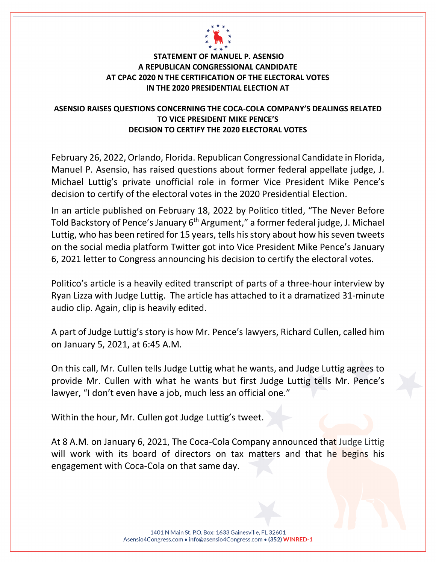

## **STATEMENT OF MANUEL P. ASENSIO A REPUBLICAN CONGRESSIONAL CANDIDATE AT CPAC 2020 N THE CERTIFICATION OF THE ELECTORAL VOTES IN THE 2020 PRESIDENTIAL ELECTION AT**

## **ASENSIO RAISES QUESTIONS CONCERNING THE COCA-COLA COMPANY'S DEALINGS RELATED TO VICE PRESIDENT MIKE PENCE'S DECISION TO CERTIFY THE 2020 ELECTORAL VOTES**

February 26, 2022, Orlando, Florida. Republican Congressional Candidate in Florida, Manuel P. Asensio, has raised questions about former federal appellate judge, J. Michael Luttig's private unofficial role in former Vice President Mike Pence's decision to certify of the electoral votes in the 2020 Presidential Election.

In an article published on February 18, 2022 by Politico titled, "The Never Before Told Backstory of Pence's January 6<sup>th</sup> Argument," a former federal judge, J. Michael Luttig, who has been retired for 15 years, tells his story about how his seven tweets on the social media platform Twitter got into Vice President Mike Pence's January 6, 2021 letter to Congress announcing his decision to certify the electoral votes.

Politico's article is a heavily edited transcript of parts of a three-hour interview by Ryan Lizza with Judge Luttig. The article has attached to it a dramatized 31-minute audio clip. Again, clip is heavily edited.

A part of Judge Luttig's story is how Mr. Pence's lawyers, Richard Cullen, called him on January 5, 2021, at 6:45 A.M.

On this call, Mr. Cullen tells Judge Luttig what he wants, and Judge Luttig agrees to provide Mr. Cullen with what he wants but first Judge Luttig tells Mr. Pence's lawyer, "I don't even have a job, much less an official one."

Within the hour, Mr. Cullen got Judge Luttig's tweet.

At 8 A.M. on January 6, 2021, The Coca-Cola Company announced that Judge Littig will work with its board of directors on tax matters and that he begins his engagement with Coca-Cola on that same day.

> 1401 N Main St. P.O. Box: 1633 Gainesville, FL 32601 Asensio4Congress.com · info@asensio4Congress.com · (352) WINRED-1